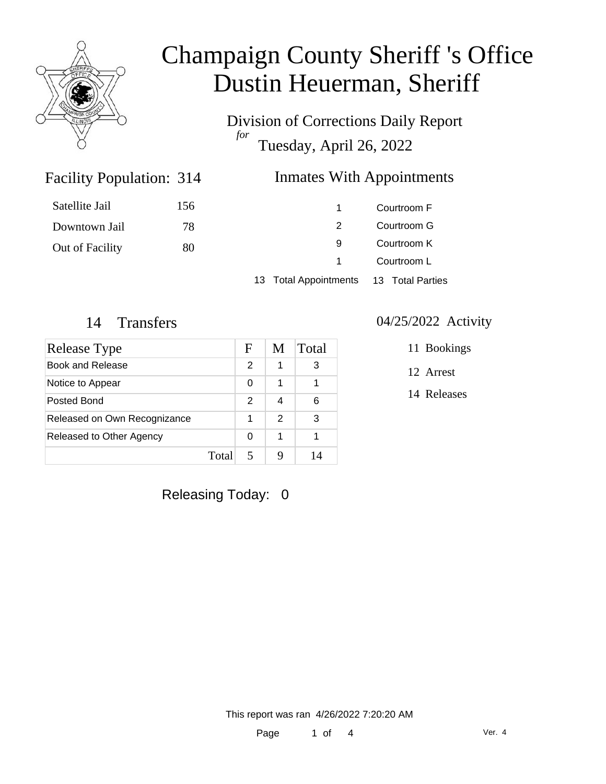

Division of Corrections Daily Report *for* Tuesday, April 26, 2022

### Facility Population: 314

#### Inmates With Appointments

| Satellite Jail  | 156 |                       | Courtroom F                |  |
|-----------------|-----|-----------------------|----------------------------|--|
| Downtown Jail   | 78  |                       | Courtroom G                |  |
| Out of Facility | 80  | 9                     | Courtroom K<br>Courtroom L |  |
|                 |     |                       |                            |  |
|                 |     | 13 Total Appointments | 13 Total Parties           |  |

| Release Type                 |       | F | M             | Total |
|------------------------------|-------|---|---------------|-------|
| Book and Release             |       | 2 | 1             | 3     |
| Notice to Appear             |       | 0 | 1             |       |
| Posted Bond                  |       | 2 | 4             | 6     |
| Released on Own Recognizance |       |   | $\mathcal{P}$ | 3     |
| Released to Other Agency     |       | 0 | 1             |       |
|                              | Total |   |               | 14    |

### Releasing Today: 0

#### 14 Transfers 04/25/2022 Activity

11 Bookings

12 Arrest

14 Releases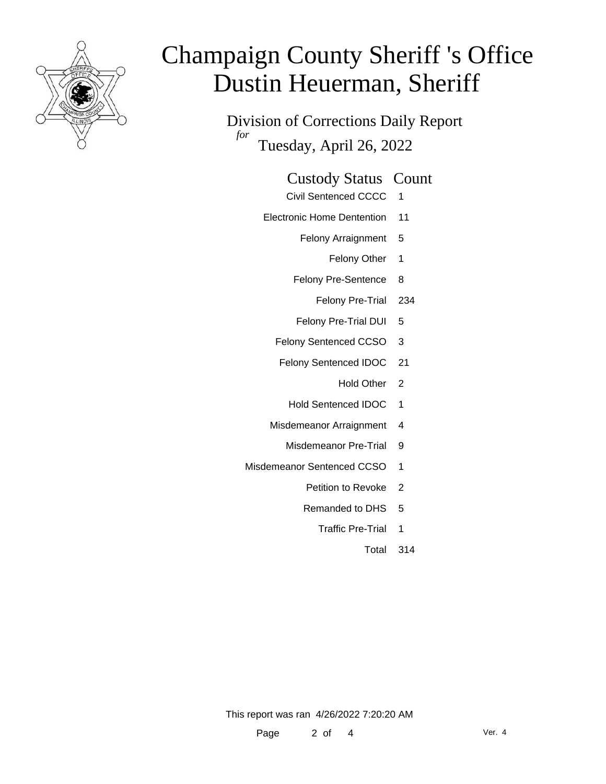

Division of Corrections Daily Report *for* Tuesday, April 26, 2022

#### Custody Status Count

- Civil Sentenced CCCC 1
- Electronic Home Dentention 11
	- Felony Arraignment 5
		- Felony Other 1
	- Felony Pre-Sentence 8
		- Felony Pre-Trial 234
	- Felony Pre-Trial DUI 5
	- Felony Sentenced CCSO 3
	- Felony Sentenced IDOC 21
		- Hold Other 2
		- Hold Sentenced IDOC 1
	- Misdemeanor Arraignment 4
		- Misdemeanor Pre-Trial 9
- Misdemeanor Sentenced CCSO 1
	- Petition to Revoke 2
	- Remanded to DHS 5
		- Traffic Pre-Trial 1
			- Total 314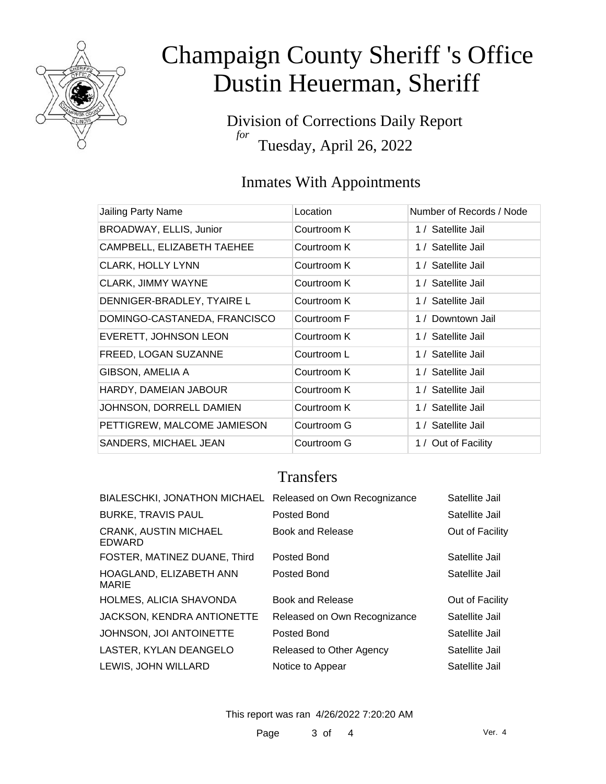

Division of Corrections Daily Report *for* Tuesday, April 26, 2022

### Inmates With Appointments

| Jailing Party Name           | Location    | Number of Records / Node |
|------------------------------|-------------|--------------------------|
| BROADWAY, ELLIS, Junior      | Courtroom K | 1 / Satellite Jail       |
| CAMPBELL, ELIZABETH TAEHEE   | Courtroom K | 1 / Satellite Jail       |
| <b>CLARK, HOLLY LYNN</b>     | Courtroom K | 1 / Satellite Jail       |
| <b>CLARK, JIMMY WAYNE</b>    | Courtroom K | 1 / Satellite Jail       |
| DENNIGER-BRADLEY, TYAIRE L   | Courtroom K | 1 / Satellite Jail       |
| DOMINGO-CASTANEDA, FRANCISCO | Courtroom F | 1 / Downtown Jail        |
| EVERETT, JOHNSON LEON        | Courtroom K | 1 / Satellite Jail       |
| FREED, LOGAN SUZANNE         | Courtroom L | 1 / Satellite Jail       |
| GIBSON, AMELIA A             | Courtroom K | 1 / Satellite Jail       |
| HARDY, DAMEIAN JABOUR        | Courtroom K | 1 / Satellite Jail       |
| JOHNSON, DORRELL DAMIEN      | Courtroom K | 1 / Satellite Jail       |
| PETTIGREW, MALCOME JAMIESON  | Courtroom G | 1 / Satellite Jail       |
| SANDERS, MICHAEL JEAN        | Courtroom G | 1 / Out of Facility      |

### **Transfers**

| BIALESCHKI, JONATHON MICHAEL Released on Own Recognizance |                              | Satellite Jail  |
|-----------------------------------------------------------|------------------------------|-----------------|
| <b>BURKE, TRAVIS PAUL</b>                                 | Posted Bond                  | Satellite Jail  |
| <b>CRANK, AUSTIN MICHAEL</b><br>EDWARD                    | Book and Release             | Out of Facility |
| FOSTER, MATINEZ DUANE, Third                              | Posted Bond                  | Satellite Jail  |
| HOAGLAND, ELIZABETH ANN<br><b>MARIE</b>                   | Posted Bond                  | Satellite Jail  |
| HOLMES, ALICIA SHAVONDA                                   | Book and Release             | Out of Facility |
| JACKSON, KENDRA ANTIONETTE                                | Released on Own Recognizance | Satellite Jail  |
| JOHNSON, JOI ANTOINETTE                                   | Posted Bond                  | Satellite Jail  |
| LASTER, KYLAN DEANGELO                                    | Released to Other Agency     | Satellite Jail  |
| LEWIS, JOHN WILLARD                                       | Notice to Appear             | Satellite Jail  |

This report was ran 4/26/2022 7:20:20 AM